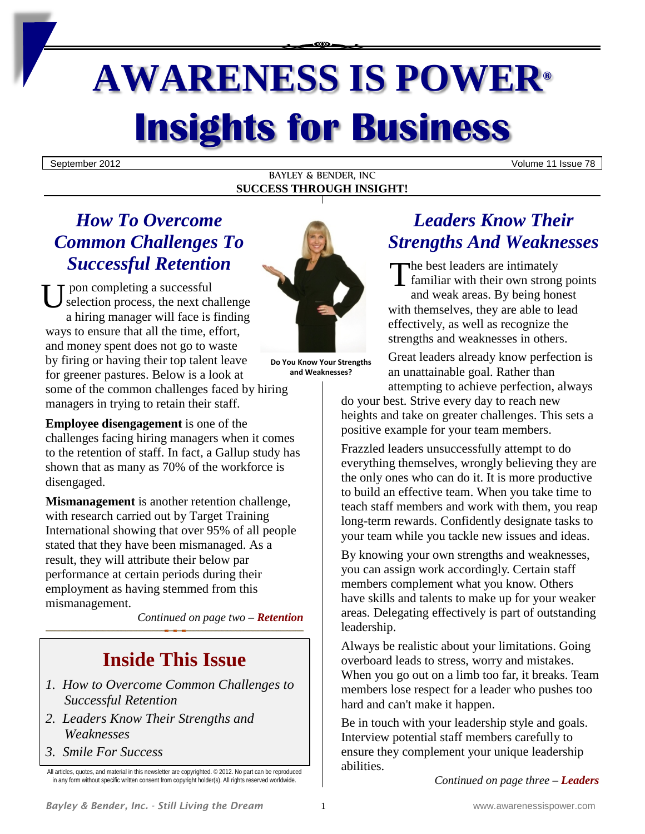# **AWARENESS IS POWER® Insights for Business**

September 2012 Volume 11 Issue 78

#### BAYLEY & BENDER, INC **SUCCESS THROUGH INSIGHT!**

# *How To Overcome Common Challenges To*

Successful Retention<br>
U selection process, the next challenge<br>
a biging managem will face is finding<br>
with pon completing a successful selection process, the next challenge a hiring manager will face is finding ways to ensure that all the time, effort, and money spent does not go to waste by firing or having their top talent leave for greener pastures. Below is a look at some of the common challenges faced by hiring managers in trying to retain their staff.

**Employee disengagement** is one of the challenges facing hiring managers when it comes to the retention of staff. In fact, a Gallup study has shown that as many as 70% of the workforce is disengaged.

**Mismanagement** is another retention challenge, with research carried out by Target Training International showing that over 95% of all people stated that they have been mismanaged. As a result, they will attribute their below par performance at certain periods during their employment as having stemmed from this mismanagement.

*Continued on page two – Retention*

# **Inside This Issue**

- *1. How to Overcome Common Challenges to Successful Retention*
- *2. Leaders Know Their Strengths and Weaknesses*
- *3. Smile For Success*



**Do You Know Your Strengths and Weaknesses?**

*Leaders Know Their Strengths And Weaknesses*

he best leaders are intimately familiar with their own strong points and weak areas. By being honest with themselves, they are able to lead effectively, as well as recognize the strengths and weaknesses in others.

Great leaders already know perfection is an unattainable goal. Rather than attempting to achieve perfection, always

do your best. Strive every day to reach new heights and take on greater challenges. This sets a positive example for your team members.

Frazzled leaders unsuccessfully attempt to do everything themselves, wrongly believing they are the only ones who can do it. It is more productive to build an effective team. When you take time to teach staff members and work with them, you reap long-term rewards. Confidently designate tasks to your team while you tackle new issues and ideas.

By knowing your own strengths and weaknesses, you can assign work accordingly. Certain staff members complement what you know. Others have skills and talents to make up for your weaker areas. Delegating effectively is part of outstanding leadership.

Always be realistic about your limitations. Going overboard leads to stress, worry and mistakes. When you go out on a limb too far, it breaks. Team members lose respect for a leader who pushes too hard and can't make it happen.

Be in touch with your leadership style and goals. Interview potential staff members carefully to ensure they complement your unique leadership abilities.

*Continued on page three – Leaders*

All articles, quotes, and material in this newsletter are copyrighted. © 2012. No part can be reproduced in any form without specific written consent from copyright holder(s). All rights reserved worldwide.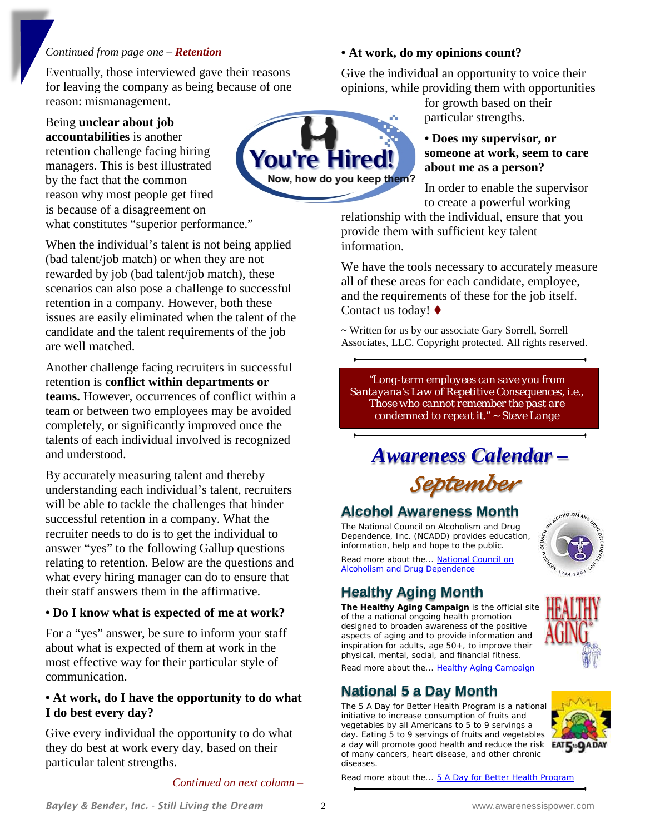#### *Continued from page one – Retention*

Eventually, those interviewed gave their reasons for leaving the company as being because of one reason: mismanagement.

Being **unclear about job accountabilities** is another retention challenge facing hiring managers. This is best illustrated by the fact that the common reason why most people get fired is because of a disagreement on what constitutes "superior performance."

When the individual's talent is not being applied (bad talent/job match) or when they are not rewarded by job (bad talent/job match), these scenarios can also pose a challenge to successful retention in a company. However, both these issues are easily eliminated when the talent of the candidate and the talent requirements of the job are well matched.

Another challenge facing recruiters in successful retention is **conflict within departments or teams.** However, occurrences of conflict within a team or between two employees may be avoided completely, or significantly improved once the talents of each individual involved is recognized and understood.

By accurately measuring talent and thereby understanding each individual's talent, recruiters will be able to tackle the challenges that hinder successful retention in a company. What the recruiter needs to do is to get the individual to answer "yes" to the following Gallup questions relating to retention. Below are the questions and what every hiring manager can do to ensure that their staff answers them in the affirmative.

# **• Do I know what is expected of me at work?**

For a "yes" answer, be sure to inform your staff about what is expected of them at work in the most effective way for their particular style of communication.

### **• At work, do I have the opportunity to do what I do best every day?**

Give every individual the opportunity to do what they do best at work every day, based on their particular talent strengths.

*Continued on next column –*

# **• At work, do my opinions count?**

Give the individual an opportunity to voice their opinions, while providing them with opportunities

for growth based on their particular strengths.

# **• Does my supervisor, or someone at work, seem to care about me as a person?**

In order to enable the supervisor to create a powerful working

relationship with the individual, ensure that you provide them with sufficient key talent information.

We have the tools necessary to accurately measure all of these areas for each candidate, employee, and the requirements of these for the job itself. Contact us today! ♦

~ Written for us by our associate Gary Sorrell, Sorrell Associates, LLC. Copyright protected. All rights reserved.

*"Long-term employees can save you from Santayana's Law of Repetitive Consequences, i.e., Those who cannot remember the past are condemned to repeat it." ~ Steve Lange*

# *Awareness Calendar – September*

# **Alcohol Awareness Month**

The National Council on Alcoholism and Drug Dependence, Inc. (NCADD) provides education, information, help and hope to the public.

Read more about the..[. National Council on](http://www.ncadd.org/)  **[Alcoholism and Drug Dependence](http://www.ncadd.org/)** 

# **Healthy Aging Month**

**The Healthy Aging Campaign** is the official site of the a national ongoing health promotion designed to broaden awareness of the positive aspects of aging and to provide information and inspiration for adults, age 50+, to improve their physical, mental, social, and financial fitness. Read more about the..[. Healthy Aging Campaign](http://www.healthyaging.net/)

# **National 5 a Day Month**

The 5 A Day for Better Health Program is a national initiative to increase consumption of fruits and vegetables by all Americans to 5 to 9 servings a day. Eating 5 to 9 servings of fruits and vegetables a day will promote good health and reduce the risk of many cancers, heart disease, and other chronic diseases.



Read more about the..[. 5 A Day for Better Health Program](http://dccps.nci.nih.gov/5ad_exec.html)

ou're Hired

Now, how do you keep them?



MCONOLISM AND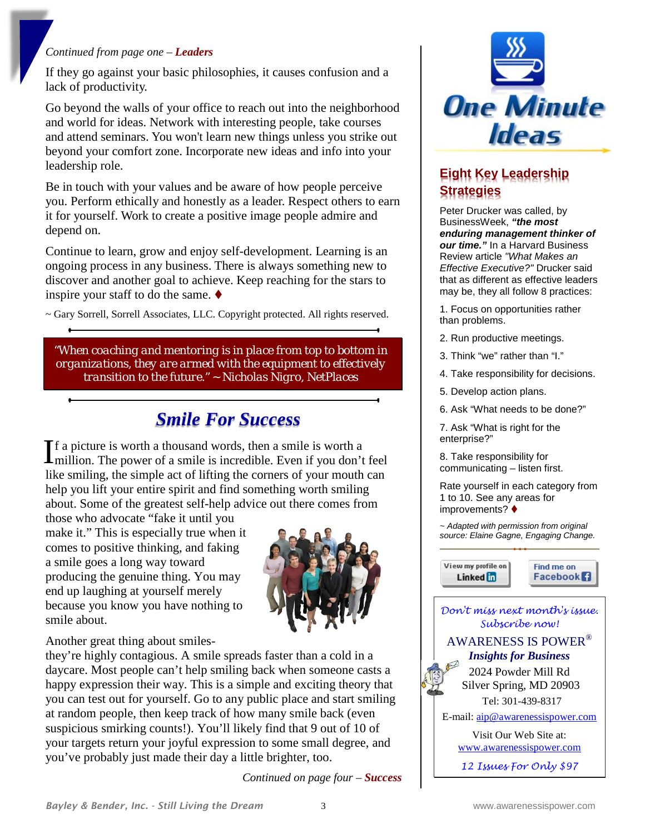#### *Continued from page one – Leaders*

If they go against your basic philosophies, it causes confusion and a lack of productivity.

Go beyond the walls of your office to reach out into the neighborhood and world for ideas. Network with interesting people, take courses and attend seminars. You won't learn new things unless you strike out beyond your comfort zone. Incorporate new ideas and info into your leadership role.

Be in touch with your values and be aware of how people perceive you. Perform ethically and honestly as a leader. Respect others to earn it for yourself. Work to create a positive image people admire and depend on.

Continue to learn, grow and enjoy self-development. Learning is an ongoing process in any business. There is always something new to discover and another goal to achieve. Keep reaching for the stars to inspire your staff to do the same.  $\blacklozenge$ 

~ Gary Sorrell, Sorrell Associates, LLC. Copyright protected. All rights reserved.

*"When coaching and mentoring is in place from top to bottom in organizations, they are armed with the equipment to effectively transition to the future." ~ Nicholas Nigro, NetPlaces*

# *Smile For Success*

f a picture is worth a thousand words, then a smile is worth a If a picture is worth a thousand words, then a smile is worth a<br>million. The power of a smile is incredible. Even if you don't feel like smiling, the simple act of lifting the corners of your mouth can help you lift your entire spirit and find something worth smiling about. Some of the greatest self-help advice out there comes from

those who advocate "fake it until you make it." This is especially true when it comes to positive thinking, and faking a smile goes a long way toward producing the genuine thing. You may end up laughing at yourself merely because you know you have nothing to smile about.



Another great thing about smiles-

they're highly contagious. A smile spreads faster than a cold in a daycare. Most people can't help smiling back when someone casts a happy expression their way. This is a simple and exciting theory that you can test out for yourself. Go to any public place and start smiling at random people, then keep track of how many smile back (even suspicious smirking counts!). You'll likely find that 9 out of 10 of your targets return your joyful expression to some small degree, and you've probably just made their day a little brighter, too.

*Continued on page four – Success* 



# **Eight Key Leadership Strategies**

Peter Drucker was called, by BusinessWeek, *"the most enduring management thinker of our time."* In a Harvard Business Review article *"What Makes an Effective Executive?"* Drucker said that as different as effective leaders may be, they all follow 8 practices:

1. Focus on opportunities rather than problems.

- 2. Run productive meetings.
- 3. Think "we" rather than "I."
- 4. Take responsibility for decisions.
- 5. Develop action plans.
- 6. Ask "What needs to be done?"

7. Ask "What is right for the enterprise?"

8. Take responsibility for communicating – listen first.

Rate yourself in each category from 1 to 10. See any areas for improvements?

*~ Adapted with permission from original source: Elaine Gagne, Engaging Change.*

View my profile on Linked in

Find me on **Facebook** 



*12 Issues For Only \$97*